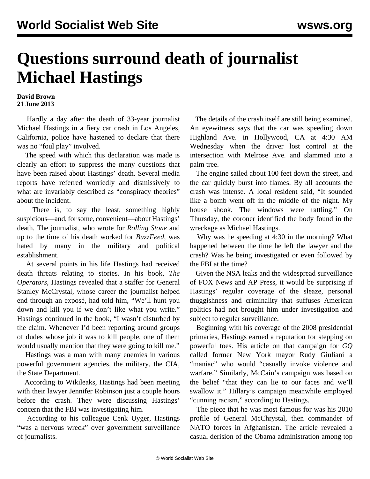## **Questions surround death of journalist Michael Hastings**

## **David Brown 21 June 2013**

 Hardly a day after the death of 33-year journalist Michael Hastings in a fiery car crash in Los Angeles, California, police have hastened to declare that there was no "foul play" involved.

 The speed with which this declaration was made is clearly an effort to suppress the many questions that have been raised about Hastings' death. Several media reports have referred worriedly and dismissively to what are invariably described as "conspiracy theories" about the incident.

 There is, to say the least, something highly suspicious—and, for some, convenient—about Hastings' death. The journalist, who wrote for *Rolling Stone* and up to the time of his death worked for *BuzzFeed,* was hated by many in the military and political establishment.

 At several points in his life Hastings had received death threats relating to stories. In his book, *The Operators*, Hastings revealed that a staffer for General Stanley McCrystal, whose career the journalist helped end through an exposé, had told him, "We'll hunt you down and kill you if we don't like what you write." Hastings continued in the book, "I wasn't disturbed by the claim. Whenever I'd been reporting around groups of dudes whose job it was to kill people, one of them would usually mention that they were going to kill me."

 Hastings was a man with many enemies in various powerful government agencies, the military, the CIA, the State Department.

 According to Wikileaks, Hastings had been meeting with their lawyer Jennifer Robinson just a couple hours before the crash. They were discussing Hastings' concern that the FBI was investigating him.

 According to his colleague Cenk Uyger, Hastings "was a nervous wreck" over government surveillance of journalists.

 The details of the crash itself are still being examined. An eyewitness says that the car was speeding down Highland Ave. in Hollywood, CA at 4:30 AM Wednesday when the driver lost control at the intersection with Melrose Ave. and slammed into a palm tree.

 The engine sailed about 100 feet down the street, and the car quickly burst into flames. By all accounts the crash was intense. A local resident said, "It sounded like a bomb went off in the middle of the night. My house shook. The windows were rattling." On Thursday, the coroner identified the body found in the wreckage as Michael Hastings.

 Why was he speeding at 4:30 in the morning? What happened between the time he left the lawyer and the crash? Was he being investigated or even followed by the FBI at the time?

 Given the NSA leaks and the widespread surveillance of FOX News and AP Press, it would be surprising if Hastings' regular coverage of the sleaze, personal thuggishness and criminality that suffuses American politics had not brought him under investigation and subject to regular surveillance.

 Beginning with his coverage of the 2008 presidential primaries, Hastings earned a reputation for stepping on powerful toes. His article on that campaign for *GQ* called former New York mayor Rudy Giuliani a "maniac" who would "casually invoke violence and warfare." Similarly, McCain's campaign was based on the belief "that they can lie to our faces and we'll swallow it." Hillary's campaign meanwhile employed "cunning racism," according to Hastings.

 The piece that he was most famous for was his 2010 profile of General McChrystal, then commander of NATO forces in Afghanistan. The article revealed a casual derision of the Obama administration among top